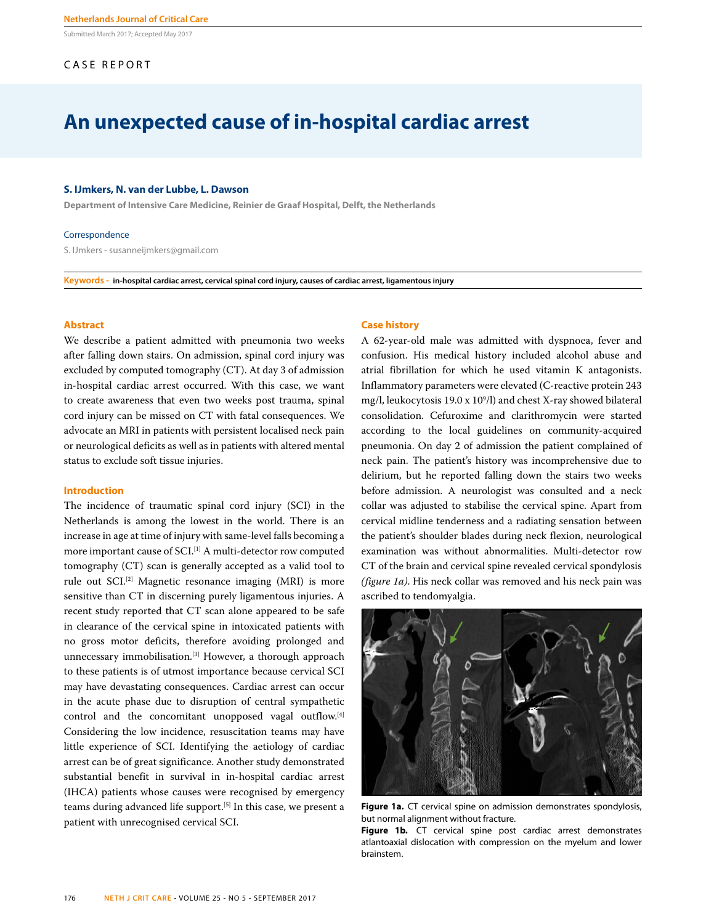Submitted March 2017; Accepted May 2017

# CASE REPORT

# **An unexpected cause of in-hospital cardiac arrest**

#### **S. IJmkers, N. van der Lubbe, L. Dawson**

**Department of Intensive Care Medicine, Reinier de Graaf Hospital, Delft, the Netherlands**

#### Correspondence

S. IJmkers - susanneijmkers@gmail.com

**Keywords - in-hospital cardiac arrest, cervical spinal cord injury, causes of cardiac arrest, ligamentous injury**

# **Abstract**

We describe a patient admitted with pneumonia two weeks after falling down stairs. On admission, spinal cord injury was excluded by computed tomography (CT). At day 3 of admission in-hospital cardiac arrest occurred. With this case, we want to create awareness that even two weeks post trauma, spinal cord injury can be missed on CT with fatal consequences. We advocate an MRI in patients with persistent localised neck pain or neurological deficits as well as in patients with altered mental status to exclude soft tissue injuries.

## **Introduction**

The incidence of traumatic spinal cord injury (SCI) in the Netherlands is among the lowest in the world. There is an increase in age at time of injury with same-level falls becoming a more important cause of SCI.<sup>[1]</sup> A multi-detector row computed tomography (CT) scan is generally accepted as a valid tool to rule out SCI.[2] Magnetic resonance imaging (MRI) is more sensitive than CT in discerning purely ligamentous injuries. A recent study reported that CT scan alone appeared to be safe in clearance of the cervical spine in intoxicated patients with no gross motor deficits, therefore avoiding prolonged and unnecessary immobilisation.<sup>[3]</sup> However, a thorough approach to these patients is of utmost importance because cervical SCI may have devastating consequences. Cardiac arrest can occur in the acute phase due to disruption of central sympathetic control and the concomitant unopposed vagal outflow.[4] Considering the low incidence, resuscitation teams may have little experience of SCI. Identifying the aetiology of cardiac arrest can be of great significance. Another study demonstrated substantial benefit in survival in in-hospital cardiac arrest (IHCA) patients whose causes were recognised by emergency teams during advanced life support.<sup>[5]</sup> In this case, we present a patient with unrecognised cervical SCI.

#### **Case history**

A 62-year-old male was admitted with dyspnoea, fever and confusion. His medical history included alcohol abuse and atrial fibrillation for which he used vitamin K antagonists. Inflammatory parameters were elevated (C-reactive protein 243 mg/l, leukocytosis  $19.0 \times 10^9$ /l) and chest X-ray showed bilateral consolidation. Cefuroxime and clarithromycin were started according to the local guidelines on community-acquired pneumonia. On day 2 of admission the patient complained of neck pain. The patient's history was incomprehensive due to delirium, but he reported falling down the stairs two weeks before admission. A neurologist was consulted and a neck collar was adjusted to stabilise the cervical spine. Apart from cervical midline tenderness and a radiating sensation between the patient's shoulder blades during neck flexion, neurological examination was without abnormalities. Multi-detector row CT of the brain and cervical spine revealed cervical spondylosis *(figure 1a)*. His neck collar was removed and his neck pain was ascribed to tendomyalgia.



**Figure 1a.** CT cervical spine on admission demonstrates spondylosis, but normal alignment without fracture.

**Figure 1b.** CT cervical spine post cardiac arrest demonstrates atlantoaxial dislocation with compression on the myelum and lower brainstem.